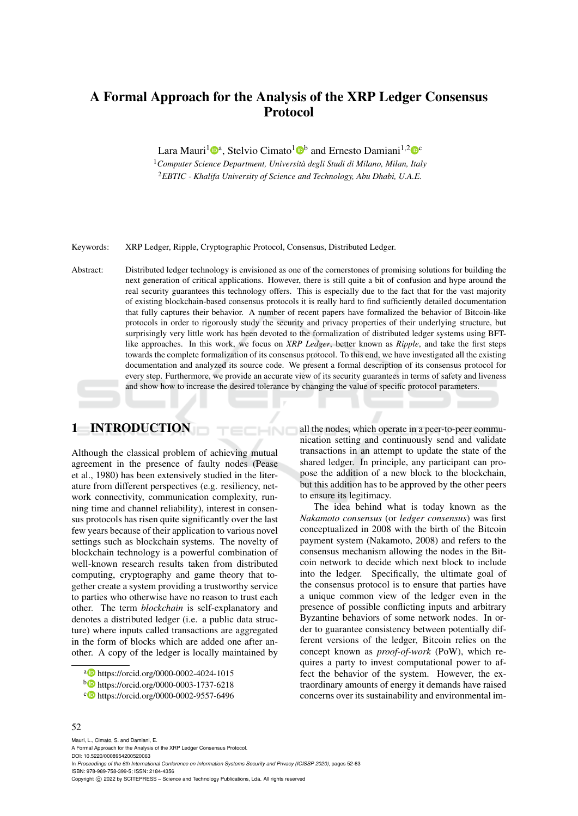# A Formal Approach for the Analysis of the XRP Ledger Consensus Protocol

Lara Mauri<sup>1</sup><sup>®</sup>, Stelvio Cimato<sup>1</sup>®<sup>b</sup> and Ernesto Damiani<sup>1,2</sup><sup>®</sup>

<sup>1</sup>*Computer Science Department, Universita degli Studi di Milano, Milan, Italy `* <sup>2</sup>*EBTIC - Khalifa University of Science and Technology, Abu Dhabi, U.A.E.*

Keywords: XRP Ledger, Ripple, Cryptographic Protocol, Consensus, Distributed Ledger.

Abstract: Distributed ledger technology is envisioned as one of the cornerstones of promising solutions for building the next generation of critical applications. However, there is still quite a bit of confusion and hype around the real security guarantees this technology offers. This is especially due to the fact that for the vast majority of existing blockchain-based consensus protocols it is really hard to find sufficiently detailed documentation that fully captures their behavior. A number of recent papers have formalized the behavior of Bitcoin-like protocols in order to rigorously study the security and privacy properties of their underlying structure, but surprisingly very little work has been devoted to the formalization of distributed ledger systems using BFTlike approaches. In this work, we focus on *XRP Ledger*, better known as *Ripple*, and take the first steps towards the complete formalization of its consensus protocol. To this end, we have investigated all the existing documentation and analyzed its source code. We present a formal description of its consensus protocol for every step. Furthermore, we provide an accurate view of its security guarantees in terms of safety and liveness and show how to increase the desired tolerance by changing the value of specific protocol parameters.

HNC

# 1 INTRODUCTION

Although the classical problem of achieving mutual agreement in the presence of faulty nodes (Pease et al., 1980) has been extensively studied in the literature from different perspectives (e.g. resiliency, network connectivity, communication complexity, running time and channel reliability), interest in consensus protocols has risen quite significantly over the last few years because of their application to various novel settings such as blockchain systems. The novelty of blockchain technology is a powerful combination of well-known research results taken from distributed computing, cryptography and game theory that together create a system providing a trustworthy service to parties who otherwise have no reason to trust each other. The term *blockchain* is self-explanatory and denotes a distributed ledger (i.e. a public data structure) where inputs called transactions are aggregated in the form of blocks which are added one after another. A copy of the ledger is locally maintained by

all the nodes, which operate in a peer-to-peer communication setting and continuously send and validate transactions in an attempt to update the state of the shared ledger. In principle, any participant can propose the addition of a new block to the blockchain, but this addition has to be approved by the other peers to ensure its legitimacy.

The idea behind what is today known as the *Nakamoto consensus* (or *ledger consensus*) was first conceptualized in 2008 with the birth of the Bitcoin payment system (Nakamoto, 2008) and refers to the consensus mechanism allowing the nodes in the Bitcoin network to decide which next block to include into the ledger. Specifically, the ultimate goal of the consensus protocol is to ensure that parties have a unique common view of the ledger even in the presence of possible conflicting inputs and arbitrary Byzantine behaviors of some network nodes. In order to guarantee consistency between potentially different versions of the ledger, Bitcoin relies on the concept known as *proof-of-work* (PoW), which requires a party to invest computational power to affect the behavior of the system. However, the extraordinary amounts of energy it demands have raised concerns over its sustainability and environmental im-

#### 52

Mauri, L., Cimato, S. and Damiani, E. A Formal Approach for the Analysis of the XRP Ledger Consensus Protocol. DOI: 10.5220/0008954200520063 In *Proceedings of the 6th International Conference on Information Systems Security and Privacy (ICISSP 2020)*, pages 52-63 ISBN: 978-989-758-399-5; ISSN: 2184-4356 Copyright (C) 2022 by SCITEPRESS - Science and Technology Publications, Lda. All rights reserved

a https://orcid.org/0000-0002-4024-1015

<sup>b</sup> https://orcid.org/0000-0003-1737-6218

<sup>c</sup> https://orcid.org/0000-0002-9557-6496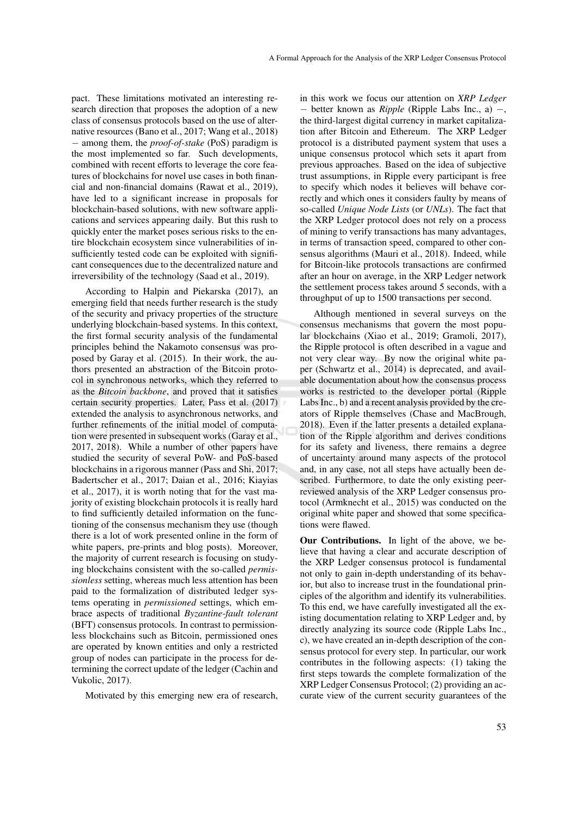pact. These limitations motivated an interesting research direction that proposes the adoption of a new class of consensus protocols based on the use of alternative resources (Bano et al., 2017; Wang et al., 2018) − among them, the *proof-of-stake* (PoS) paradigm is the most implemented so far. Such developments, combined with recent efforts to leverage the core features of blockchains for novel use cases in both financial and non-financial domains (Rawat et al., 2019), have led to a significant increase in proposals for blockchain-based solutions, with new software applications and services appearing daily. But this rush to quickly enter the market poses serious risks to the entire blockchain ecosystem since vulnerabilities of insufficiently tested code can be exploited with significant consequences due to the decentralized nature and irreversibility of the technology (Saad et al., 2019).

According to Halpin and Piekarska (2017), an emerging field that needs further research is the study of the security and privacy properties of the structure underlying blockchain-based systems. In this context, the first formal security analysis of the fundamental principles behind the Nakamoto consensus was proposed by Garay et al. (2015). In their work, the authors presented an abstraction of the Bitcoin protocol in synchronous networks, which they referred to as the *Bitcoin backbone*, and proved that it satisfies certain security properties. Later, Pass et al. (2017) extended the analysis to asynchronous networks, and further refinements of the initial model of computation were presented in subsequent works (Garay et al., 2017, 2018). While a number of other papers have studied the security of several PoW- and PoS-based blockchains in a rigorous manner (Pass and Shi, 2017; Badertscher et al., 2017; Daian et al., 2016; Kiayias et al., 2017), it is worth noting that for the vast majority of existing blockchain protocols it is really hard to find sufficiently detailed information on the functioning of the consensus mechanism they use (though there is a lot of work presented online in the form of white papers, pre-prints and blog posts). Moreover, the majority of current research is focusing on studying blockchains consistent with the so-called *permissionless* setting, whereas much less attention has been paid to the formalization of distributed ledger systems operating in *permissioned* settings, which embrace aspects of traditional *Byzantine-fault tolerant* (BFT) consensus protocols. In contrast to permissionless blockchains such as Bitcoin, permissioned ones are operated by known entities and only a restricted group of nodes can participate in the process for determining the correct update of the ledger (Cachin and Vukolic, 2017).

Motivated by this emerging new era of research,

in this work we focus our attention on *XRP Ledger* − better known as *Ripple* (Ripple Labs Inc., a) −, the third-largest digital currency in market capitalization after Bitcoin and Ethereum. The XRP Ledger protocol is a distributed payment system that uses a unique consensus protocol which sets it apart from previous approaches. Based on the idea of subjective trust assumptions, in Ripple every participant is free to specify which nodes it believes will behave correctly and which ones it considers faulty by means of so-called *Unique Node Lists* (or *UNLs*). The fact that the XRP Ledger protocol does not rely on a process of mining to verify transactions has many advantages, in terms of transaction speed, compared to other consensus algorithms (Mauri et al., 2018). Indeed, while for Bitcoin-like protocols transactions are confirmed after an hour on average, in the XRP Ledger network the settlement process takes around 5 seconds, with a throughput of up to 1500 transactions per second.

Although mentioned in several surveys on the consensus mechanisms that govern the most popular blockchains (Xiao et al., 2019; Gramoli, 2017), the Ripple protocol is often described in a vague and not very clear way. By now the original white paper (Schwartz et al., 2014) is deprecated, and available documentation about how the consensus process works is restricted to the developer portal (Ripple Labs Inc., b) and a recent analysis provided by the creators of Ripple themselves (Chase and MacBrough, 2018). Even if the latter presents a detailed explanation of the Ripple algorithm and derives conditions for its safety and liveness, there remains a degree of uncertainty around many aspects of the protocol and, in any case, not all steps have actually been described. Furthermore, to date the only existing peerreviewed analysis of the XRP Ledger consensus protocol (Armknecht et al., 2015) was conducted on the original white paper and showed that some specifications were flawed.

Our Contributions. In light of the above, we believe that having a clear and accurate description of the XRP Ledger consensus protocol is fundamental not only to gain in-depth understanding of its behavior, but also to increase trust in the foundational principles of the algorithm and identify its vulnerabilities. To this end, we have carefully investigated all the existing documentation relating to XRP Ledger and, by directly analyzing its source code (Ripple Labs Inc., c), we have created an in-depth description of the consensus protocol for every step. In particular, our work contributes in the following aspects: (1) taking the first steps towards the complete formalization of the XRP Ledger Consensus Protocol; (2) providing an accurate view of the current security guarantees of the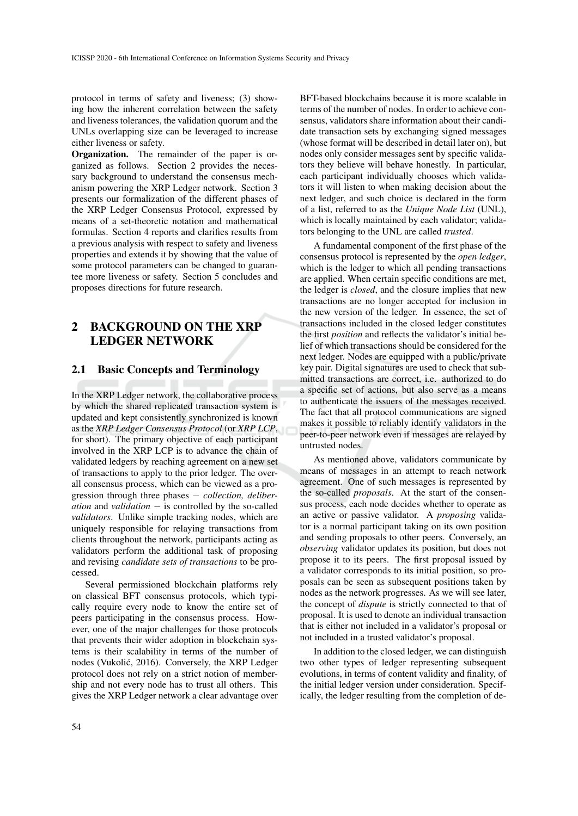protocol in terms of safety and liveness; (3) showing how the inherent correlation between the safety and liveness tolerances, the validation quorum and the UNLs overlapping size can be leveraged to increase either liveness or safety.

Organization. The remainder of the paper is organized as follows. Section 2 provides the necessary background to understand the consensus mechanism powering the XRP Ledger network. Section 3 presents our formalization of the different phases of the XRP Ledger Consensus Protocol, expressed by means of a set-theoretic notation and mathematical formulas. Section 4 reports and clarifies results from a previous analysis with respect to safety and liveness properties and extends it by showing that the value of some protocol parameters can be changed to guarantee more liveness or safety. Section 5 concludes and proposes directions for future research.

# 2 BACKGROUND ON THE XRP LEDGER NETWORK

#### 2.1 Basic Concepts and Terminology

In the XRP Ledger network, the collaborative process by which the shared replicated transaction system is updated and kept consistently synchronized is known as the *XRP Ledger Consensus Protocol* (or *XRP LCP*, for short). The primary objective of each participant involved in the XRP LCP is to advance the chain of validated ledgers by reaching agreement on a new set of transactions to apply to the prior ledger. The overall consensus process, which can be viewed as a progression through three phases − *collection, deliberation* and *validation* − is controlled by the so-called *validators*. Unlike simple tracking nodes, which are uniquely responsible for relaying transactions from clients throughout the network, participants acting as validators perform the additional task of proposing and revising *candidate sets of transactions* to be processed.

Several permissioned blockchain platforms rely on classical BFT consensus protocols, which typically require every node to know the entire set of peers participating in the consensus process. However, one of the major challenges for those protocols that prevents their wider adoption in blockchain systems is their scalability in terms of the number of nodes (Vukolic, 2016). Conversely, the XRP Ledger ´ protocol does not rely on a strict notion of membership and not every node has to trust all others. This gives the XRP Ledger network a clear advantage over

BFT-based blockchains because it is more scalable in terms of the number of nodes. In order to achieve consensus, validators share information about their candidate transaction sets by exchanging signed messages (whose format will be described in detail later on), but nodes only consider messages sent by specific validators they believe will behave honestly. In particular, each participant individually chooses which validators it will listen to when making decision about the next ledger, and such choice is declared in the form of a list, referred to as the *Unique Node List* (UNL), which is locally maintained by each validator; validators belonging to the UNL are called *trusted*.

A fundamental component of the first phase of the consensus protocol is represented by the *open ledger*, which is the ledger to which all pending transactions are applied. When certain specific conditions are met, the ledger is *closed*, and the closure implies that new transactions are no longer accepted for inclusion in the new version of the ledger. In essence, the set of transactions included in the closed ledger constitutes the first *position* and reflects the validator's initial belief of which transactions should be considered for the next ledger. Nodes are equipped with a public/private key pair. Digital signatures are used to check that submitted transactions are correct, i.e. authorized to do a specific set of actions, but also serve as a means to authenticate the issuers of the messages received. The fact that all protocol communications are signed makes it possible to reliably identify validators in the peer-to-peer network even if messages are relayed by untrusted nodes.

As mentioned above, validators communicate by means of messages in an attempt to reach network agreement. One of such messages is represented by the so-called *proposals*. At the start of the consensus process, each node decides whether to operate as an active or passive validator. A *proposing* validator is a normal participant taking on its own position and sending proposals to other peers. Conversely, an *observing* validator updates its position, but does not propose it to its peers. The first proposal issued by a validator corresponds to its initial position, so proposals can be seen as subsequent positions taken by nodes as the network progresses. As we will see later, the concept of *dispute* is strictly connected to that of proposal. It is used to denote an individual transaction that is either not included in a validator's proposal or not included in a trusted validator's proposal.

In addition to the closed ledger, we can distinguish two other types of ledger representing subsequent evolutions, in terms of content validity and finality, of the initial ledger version under consideration. Specifically, the ledger resulting from the completion of de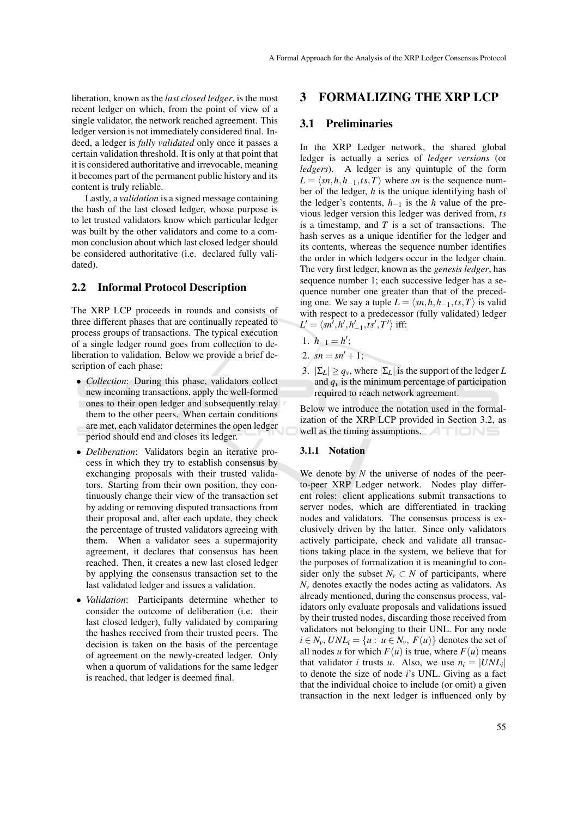liberation, known as the *last closed ledger*, is the most recent ledger on which, from the point of view of a single validator, the network reached agreement. This ledger version is not immediately considered final. Indeed, a ledger is *fully validated* only once it passes a certain validation threshold. It is only at that point that it is considered authoritative and irrevocable, meaning it becomes part of the permanent public history and its content is truly reliable.

Lastly, a *validation* is a signed message containing the hash of the last closed ledger, whose purpose is to let trusted validators know which particular ledger was built by the other validators and come to a common conclusion about which last closed ledger should be considered authoritative (i.e. declared fully validated).

### 2.2 Informal Protocol Description

The XRP LCP proceeds in rounds and consists of three different phases that are continually repeated to process groups of transactions. The typical execution of a single ledger round goes from collection to deliberation to validation. Below we provide a brief description of each phase:

- *Collection*: During this phase, validators collect new incoming transactions, apply the well-formed ones to their open ledger and subsequently relay them to the other peers. When certain conditions are met, each validator determines the open ledger period should end and closes its ledger.
- *Deliberation*: Validators begin an iterative process in which they try to establish consensus by exchanging proposals with their trusted validators. Starting from their own position, they continuously change their view of the transaction set by adding or removing disputed transactions from their proposal and, after each update, they check the percentage of trusted validators agreeing with them. When a validator sees a supermajority agreement, it declares that consensus has been reached. Then, it creates a new last closed ledger by applying the consensus transaction set to the last validated ledger and issues a validation.
- *Validation*: Participants determine whether to consider the outcome of deliberation (i.e. their last closed ledger), fully validated by comparing the hashes received from their trusted peers. The decision is taken on the basis of the percentage of agreement on the newly-created ledger. Only when a quorum of validations for the same ledger is reached, that ledger is deemed final.

### 3 FORMALIZING THE XRP LCP

### 3.1 Preliminaries

In the XRP Ledger network, the shared global ledger is actually a series of *ledger versions* (or *ledgers*). A ledger is any quintuple of the form  $L = \langle sn, h, h_{-1}, ts, T \rangle$  where *sn* is the sequence number of the ledger, *h* is the unique identifying hash of the ledger's contents, *h*−<sup>1</sup> is the *h* value of the previous ledger version this ledger was derived from, *ts* is a timestamp, and *T* is a set of transactions. The hash serves as a unique identifier for the ledger and its contents, whereas the sequence number identifies the order in which ledgers occur in the ledger chain. The very first ledger, known as the *genesis ledger*, has sequence number 1; each successive ledger has a sequence number one greater than that of the preceding one. We say a tuple  $L = \langle sn, h, h_{-1}, ts, T \rangle$  is valid with respect to a predecessor (fully validated) ledger  $L' = \langle sn', h', h'_{-1}, ts', T' \rangle$  iff:

- 1.  $h_{-1} = h'$ ;
- 2.  $sn = sn' + 1$ ;
- 3.  $|\Sigma_L| \ge q_\nu$ , where  $|\Sigma_L|$  is the support of the ledger *L* and  $q<sub>v</sub>$  is the minimum percentage of participation required to reach network agreement.

Below we introduce the notation used in the formalization of the XRP LCP provided in Section 3.2, as well as the timing assumptions.

#### 3.1.1 Notation

We denote by *N* the universe of nodes of the peerto-peer XRP Ledger network. Nodes play different roles: client applications submit transactions to server nodes, which are differentiated in tracking nodes and validators. The consensus process is exclusively driven by the latter. Since only validators actively participate, check and validate all transactions taking place in the system, we believe that for the purposes of formalization it is meaningful to consider only the subset  $N_v \subset N$  of participants, where  $N<sub>v</sub>$  denotes exactly the nodes acting as validators. As already mentioned, during the consensus process, validators only evaluate proposals and validations issued by their trusted nodes, discarding those received from validators not belonging to their UNL. For any node  $i \in N_v$ ,  $UNL_i = \{u : u \in N_v, F(u)\}$  denotes the set of all nodes *u* for which  $F(u)$  is true, where  $F(u)$  means that validator *i* trusts *u*. Also, we use  $n_i = |UNL_i|$ to denote the size of node *i*'s UNL. Giving as a fact that the individual choice to include (or omit) a given transaction in the next ledger is influenced only by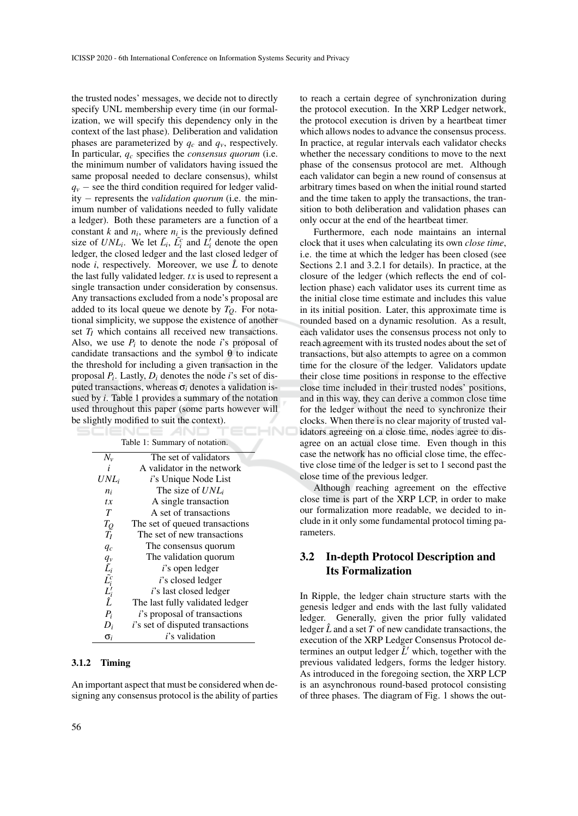the trusted nodes' messages, we decide not to directly specify UNL membership every time (in our formalization, we will specify this dependency only in the context of the last phase). Deliberation and validation phases are parameterized by  $q_c$  and  $q_v$ , respectively. In particular, *q<sup>c</sup>* specifies the *consensus quorum* (i.e. the minimum number of validators having issued the same proposal needed to declare consensus), whilst  $q<sub>v</sub>$  − see the third condition required for ledger validity − represents the *validation quorum* (i.e. the minimum number of validations needed to fully validate a ledger). Both these parameters are a function of a constant *k* and  $n_i$ , where  $n_i$  is the previously defined size of  $UNL_i$ . We let  $\tilde{L}_i$ ,  $\tilde{L}_i^c$  and  $\tilde{L}_i^l$  denote the open ledger, the closed ledger and the last closed ledger of node *i*, respectively. Moreover, we use  $\hat{L}$  to denote the last fully validated ledger. *tx* is used to represent a single transaction under consideration by consensus. Any transactions excluded from a node's proposal are added to its local queue we denote by *TQ*. For notational simplicity, we suppose the existence of another set  $T_I$  which contains all received new transactions. Also, we use  $P_i$  to denote the node *i*'s proposal of candidate transactions and the symbol  $\theta$  to indicate the threshold for including a given transaction in the proposal *P<sup>i</sup>* . Lastly, *D<sup>i</sup>* denotes the node *i*'s set of disputed transactions, whereas σ*<sup>i</sup>* denotes a validation issued by *i*. Table 1 provides a summary of the notation used throughout this paper (some parts however will be slightly modified to suit the context). HNC

| Table 1: Summary of notation.                               |                                  |
|-------------------------------------------------------------|----------------------------------|
| $N_{\rm v}$                                                 | The set of validators            |
| i                                                           | A validator in the network       |
| $\mathit{UNL}_i$                                            | i's Unique Node List             |
| $n_i$                                                       | The size of $UNL_i$              |
| tx                                                          | A single transaction             |
| T                                                           | A set of transactions            |
| $T_Q$                                                       | The set of queued transactions   |
| $T_I$                                                       | The set of new transactions      |
| $q_c$                                                       | The consensus quorum             |
|                                                             | The validation quorum            |
| $q_v$<br>$\tilde{L_i}$<br>$\tilde{L_i^c}$<br>$L_i^{\prime}$ | $i$ 's open ledger               |
|                                                             | i's closed ledger                |
|                                                             | i's last closed ledger           |
| Ĺ                                                           | The last fully validated ledger  |
| $P_i$                                                       | i's proposal of transactions     |
| $D_i$                                                       | i's set of disputed transactions |
| $\sigma_i$                                                  | i's validation                   |

**AND** 

#### 3.1.2 Timing

An important aspect that must be considered when designing any consensus protocol is the ability of parties

to reach a certain degree of synchronization during the protocol execution. In the XRP Ledger network, the protocol execution is driven by a heartbeat timer which allows nodes to advance the consensus process. In practice, at regular intervals each validator checks whether the necessary conditions to move to the next phase of the consensus protocol are met. Although each validator can begin a new round of consensus at arbitrary times based on when the initial round started and the time taken to apply the transactions, the transition to both deliberation and validation phases can only occur at the end of the heartbeat timer.

Furthermore, each node maintains an internal clock that it uses when calculating its own *close time*, i.e. the time at which the ledger has been closed (see Sections 2.1 and 3.2.1 for details). In practice, at the closure of the ledger (which reflects the end of collection phase) each validator uses its current time as the initial close time estimate and includes this value in its initial position. Later, this approximate time is rounded based on a dynamic resolution. As a result, each validator uses the consensus process not only to reach agreement with its trusted nodes about the set of transactions, but also attempts to agree on a common time for the closure of the ledger. Validators update their close time positions in response to the effective close time included in their trusted nodes' positions, and in this way, they can derive a common close time for the ledger without the need to synchronize their clocks. When there is no clear majority of trusted validators agreeing on a close time, nodes agree to disagree on an actual close time. Even though in this case the network has no official close time, the effective close time of the ledger is set to 1 second past the close time of the previous ledger.

Although reaching agreement on the effective close time is part of the XRP LCP, in order to make our formalization more readable, we decided to include in it only some fundamental protocol timing parameters.

# 3.2 In-depth Protocol Description and Its Formalization

In Ripple, the ledger chain structure starts with the genesis ledger and ends with the last fully validated ledger. Generally, given the prior fully validated ledger  $\hat{L}$  and a set  $T$  of new candidate transactions, the execution of the XRP Ledger Consensus Protocol determines an output ledger  $\hat{L}'$  which, together with the previous validated ledgers, forms the ledger history. As introduced in the foregoing section, the XRP LCP is an asynchronous round-based protocol consisting of three phases. The diagram of Fig. 1 shows the out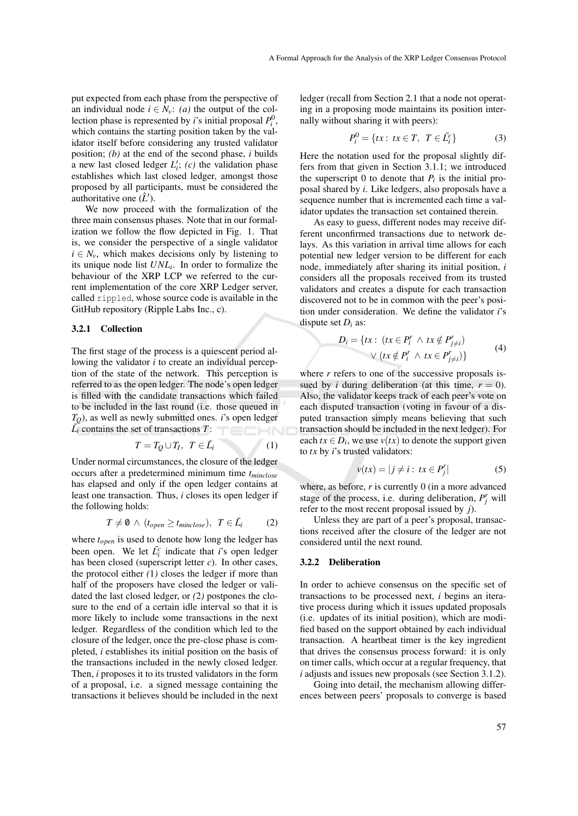put expected from each phase from the perspective of an individual node  $i \in N_v$ : *(a)* the output of the collection phase is represented by *i*'s initial proposal  $P_i^0$ , which contains the starting position taken by the validator itself before considering any trusted validator position; *(b)* at the end of the second phase, *i* builds a new last closed ledger  $L_i'$ ; *(c)* the validation phase establishes which last closed ledger, amongst those proposed by all participants, must be considered the authoritative one  $(\hat{L}')$ .

We now proceed with the formalization of the three main consensus phases. Note that in our formalization we follow the flow depicted in Fig. 1. That is, we consider the perspective of a single validator  $i \in N_v$ , which makes decisions only by listening to its unique node list *UNL<sup>i</sup>* . In order to formalize the behaviour of the XRP LCP we referred to the current implementation of the core XRP Ledger server, called rippled, whose source code is available in the GitHub repository (Ripple Labs Inc., c).

#### 3.2.1 Collection

The first stage of the process is a quiescent period allowing the validator *i* to create an individual perception of the state of the network. This perception is referred to as the open ledger. The node's open ledger is filled with the candidate transactions which failed to be included in the last round (i.e. those queued in *TQ*), as well as newly submitted ones. *i*'s open ledger  $\tilde{L}_i$  contains the set of transactions *T*:

$$
T = T_Q \cup T_I, \ T \in \tilde{L_i} \tag{1}
$$

Under normal circumstances, the closure of the ledger occurs after a predetermined minimum time *tminclose* has elapsed and only if the open ledger contains at least one transaction. Thus, *i* closes its open ledger if the following holds:

$$
T \neq \emptyset \ \land \ (t_{open} \ge t_{minclose}), \ \ T \in \tilde{L_i} \tag{2}
$$

where *topen* is used to denote how long the ledger has been open. We let  $\tilde{L}_i^c$  indicate that *i*'s open ledger has been closed (superscript letter *c*). In other cases, the protocol either *(*1*)* closes the ledger if more than half of the proposers have closed the ledger or validated the last closed ledger, or *(*2*)* postpones the closure to the end of a certain idle interval so that it is more likely to include some transactions in the next ledger. Regardless of the condition which led to the closure of the ledger, once the pre-close phase is completed, *i* establishes its initial position on the basis of the transactions included in the newly closed ledger. Then, *i* proposes it to its trusted validators in the form of a proposal, i.e. a signed message containing the transactions it believes should be included in the next

ledger (recall from Section 2.1 that a node not operating in a proposing mode maintains its position internally without sharing it with peers):

$$
P_i^0 = \{tx : tx \in T, T \in \tilde{L}_i^c\}
$$
 (3)

Here the notation used for the proposal slightly differs from that given in Section 3.1.1; we introduced the superscript 0 to denote that  $P_i$  is the initial proposal shared by *i*. Like ledgers, also proposals have a sequence number that is incremented each time a validator updates the transaction set contained therein.

As easy to guess, different nodes may receive different unconfirmed transactions due to network delays. As this variation in arrival time allows for each potential new ledger version to be different for each node, immediately after sharing its initial position, *i* considers all the proposals received from its trusted validators and creates a dispute for each transaction discovered not to be in common with the peer's position under consideration. We define the validator *i*'s dispute set  $D_i$  as:

$$
D_i = \{tx: (tx \in P_i^r \land tx \notin P_{j \neq i}^r) \lor (tx \notin P_i^r \land tx \in P_{j \neq i}^r)\}
$$
(4)

where *r* refers to one of the successive proposals issued by *i* during deliberation (at this time,  $r = 0$ ). Also, the validator keeps track of each peer's vote on each disputed transaction (voting in favour of a disputed transaction simply means believing that such transaction should be included in the next ledger). For each  $tx \in D_i$ , we use  $v(tx)$  to denote the support given to *tx* by *i*'s trusted validators:

$$
v(tx) = |j \neq i : tx \in P_j^r|
$$
 (5)

where, as before, *r* is currently 0 (in a more advanced stage of the process, i.e. during deliberation,  $P_j^r$  will refer to the most recent proposal issued by *j*).

Unless they are part of a peer's proposal, transactions received after the closure of the ledger are not considered until the next round.

#### 3.2.2 Deliberation

In order to achieve consensus on the specific set of transactions to be processed next, *i* begins an iterative process during which it issues updated proposals (i.e. updates of its initial position), which are modified based on the support obtained by each individual transaction. A heartbeat timer is the key ingredient that drives the consensus process forward: it is only on timer calls, which occur at a regular frequency, that *i* adjusts and issues new proposals (see Section 3.1.2).

Going into detail, the mechanism allowing differences between peers' proposals to converge is based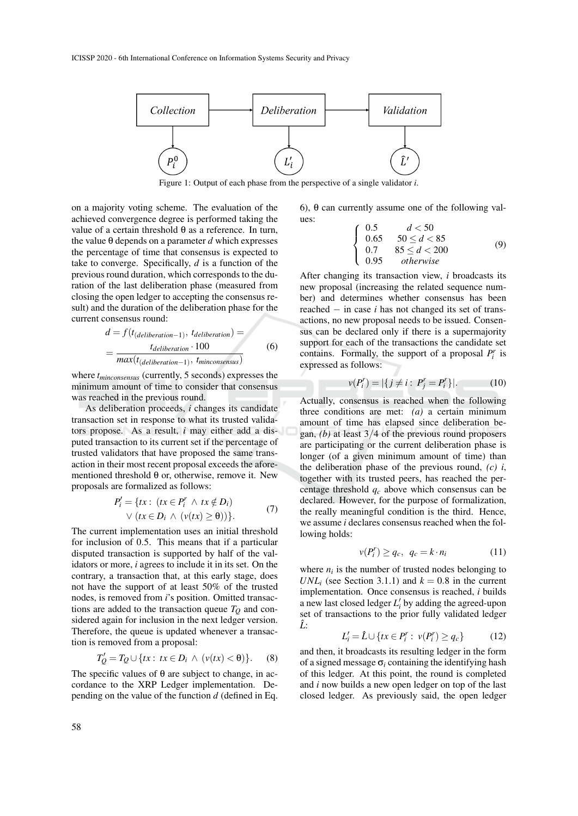

Figure 1: Output of each phase from the perspective of a single validator *i*.

on a majority voting scheme. The evaluation of the achieved convergence degree is performed taking the value of a certain threshold θ as a reference. In turn, the value θ depends on a parameter *d* which expresses the percentage of time that consensus is expected to take to converge. Specifically, *d* is a function of the previous round duration, which corresponds to the duration of the last deliberation phase (measured from closing the open ledger to accepting the consensus result) and the duration of the deliberation phase for the current consensus round:

$$
d = f(t_{(deliberation-1)}, t_{deliberation}) =
$$
  
= 
$$
\frac{t_{deliberation} \cdot 100}{max(t_{(deliberation-1)}, t_{minconsensus})}
$$
 (6)

where *tminconsensus* (currently, 5 seconds) expresses the minimum amount of time to consider that consensus was reached in the previous round.

As deliberation proceeds, *i* changes its candidate transaction set in response to what its trusted validators propose. As a result, *i* may either add a disputed transaction to its current set if the percentage of trusted validators that have proposed the same transaction in their most recent proposal exceeds the aforementioned threshold  $\theta$  or, otherwise, remove it. New proposals are formalized as follows:

$$
P'_{i} = \{tx : (tx \in P'_{i} \land tx \notin D_{i})
$$
  
 
$$
\lor (tx \in D_{i} \land (v(tx) \geq \theta))\}.
$$
 (7)

The current implementation uses an initial threshold for inclusion of 0.5. This means that if a particular disputed transaction is supported by half of the validators or more, *i* agrees to include it in its set. On the contrary, a transaction that, at this early stage, does not have the support of at least 50% of the trusted nodes, is removed from *i*'s position. Omitted transactions are added to the transaction queue  $T_Q$  and considered again for inclusion in the next ledger version. Therefore, the queue is updated whenever a transaction is removed from a proposal:

$$
T'_Q = T_Q \cup \{tx : tx \in D_i \land (v(tx) < \theta)\}.
$$
 (8)

The specific values of  $\theta$  are subject to change, in accordance to the XRP Ledger implementation. Depending on the value of the function *d* (defined in Eq. 6), θ can currently assume one of the following values:

$$
\begin{cases}\n0.5 & d < 50 \\
0.65 & 50 \le d < 85 \\
0.7 & 85 \le d < 200 \\
0.95 & otherwise\n\end{cases}
$$
\n(9)

After changing its transaction view, *i* broadcasts its new proposal (increasing the related sequence number) and determines whether consensus has been reached − in case *i* has not changed its set of transactions, no new proposal needs to be issued. Consensus can be declared only if there is a supermajority support for each of the transactions the candidate set contains. Formally, the support of a proposal  $P_i^r$  is expressed as follows:

$$
v(P_i^r) = |\{ j \neq i : P_j^r = P_i^r \}|. \tag{10}
$$

Actually, consensus is reached when the following three conditions are met: *(a)* a certain minimum amount of time has elapsed since deliberation began, *(b)* at least 3/4 of the previous round proposers are participating or the current deliberation phase is longer (of a given minimum amount of time) than the deliberation phase of the previous round, *(c) i*, together with its trusted peers, has reached the percentage threshold *q<sup>c</sup>* above which consensus can be declared. However, for the purpose of formalization, the really meaningful condition is the third. Hence, we assume *i* declares consensus reached when the following holds:

$$
v(P_i^r) \ge q_c, \ q_c = k \cdot n_i \tag{11}
$$

where  $n_i$  is the number of trusted nodes belonging to *UNL*<sup>*i*</sup> (see Section 3.1.1) and  $k = 0.8$  in the current implementation. Once consensus is reached, *i* builds a new last closed ledger  $L_i$  by adding the agreed-upon set of transactions to the prior fully validated ledger *L*ˆ:

$$
L'_i = \hat{L} \cup \{ tx \in P'_i : v(P'_i) \ge q_c \}
$$
 (12)

and then, it broadcasts its resulting ledger in the form of a signed message  $\sigma_i$  containing the identifying hash of this ledger. At this point, the round is completed and *i* now builds a new open ledger on top of the last closed ledger. As previously said, the open ledger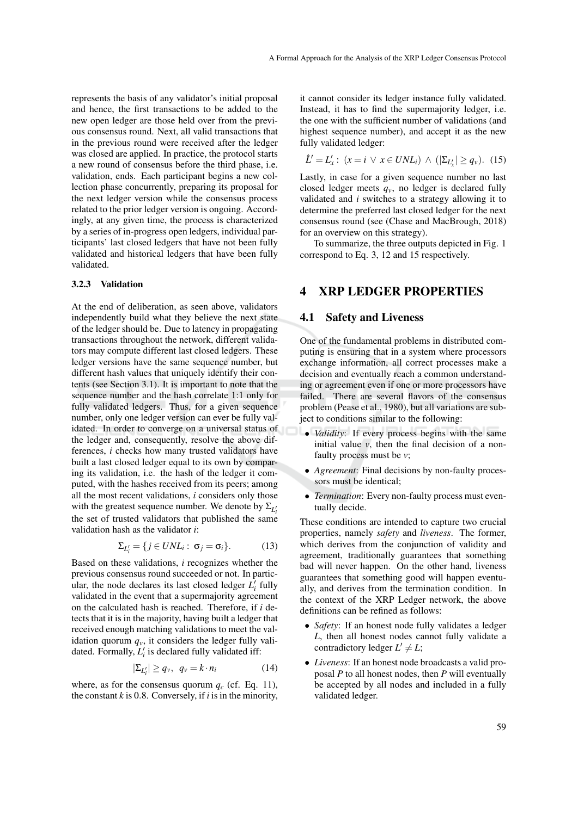represents the basis of any validator's initial proposal and hence, the first transactions to be added to the new open ledger are those held over from the previous consensus round. Next, all valid transactions that in the previous round were received after the ledger was closed are applied. In practice, the protocol starts a new round of consensus before the third phase, i.e. validation, ends. Each participant begins a new collection phase concurrently, preparing its proposal for the next ledger version while the consensus process related to the prior ledger version is ongoing. Accordingly, at any given time, the process is characterized by a series of in-progress open ledgers, individual participants' last closed ledgers that have not been fully validated and historical ledgers that have been fully validated.

#### 3.2.3 Validation

At the end of deliberation, as seen above, validators independently build what they believe the next state of the ledger should be. Due to latency in propagating transactions throughout the network, different validators may compute different last closed ledgers. These ledger versions have the same sequence number, but different hash values that uniquely identify their contents (see Section 3.1). It is important to note that the sequence number and the hash correlate 1:1 only for fully validated ledgers. Thus, for a given sequence number, only one ledger version can ever be fully validated. In order to converge on a universal status of the ledger and, consequently, resolve the above differences, *i* checks how many trusted validators have built a last closed ledger equal to its own by comparing its validation, i.e. the hash of the ledger it computed, with the hashes received from its peers; among all the most recent validations, *i* considers only those with the greatest sequence number. We denote by  $\Sigma_{L_i}$ the set of trusted validators that published the same validation hash as the validator *i*:

$$
\Sigma_{L'_i} = \{ j \in UNL_i : \sigma_j = \sigma_i \}.
$$
 (13)

Based on these validations, *i* recognizes whether the previous consensus round succeeded or not. In particular, the node declares its last closed ledger  $\hat{L}_i^j$  fully validated in the event that a supermajority agreement on the calculated hash is reached. Therefore, if *i* detects that it is in the majority, having built a ledger that received enough matching validations to meet the validation quorum  $q<sub>v</sub>$ , it considers the ledger fully validated. Formally,  $L_i$  is declared fully validated iff:

$$
|\Sigma_{L'_i}| \ge q_v, \ \ q_v = k \cdot n_i \tag{14}
$$

where, as for the consensus quorum  $q_c$  (cf. Eq. 11), the constant  $k$  is 0.8. Conversely, if  $i$  is in the minority, it cannot consider its ledger instance fully validated. Instead, it has to find the supermajority ledger, i.e. the one with the sufficient number of validations (and highest sequence number), and accept it as the new fully validated ledger:

$$
\hat{L}' = L'_x: \ (x = i \ \lor \ x \in UNL_i) \ \land \ ([\Sigma_{L'_x}] \ge q_{\nu}). \tag{15}
$$

Lastly, in case for a given sequence number no last closed ledger meets  $q_v$ , no ledger is declared fully validated and *i* switches to a strategy allowing it to determine the preferred last closed ledger for the next consensus round (see (Chase and MacBrough, 2018) for an overview on this strategy).

To summarize, the three outputs depicted in Fig. 1 correspond to Eq. 3, 12 and 15 respectively.

### 4 XRP LEDGER PROPERTIES

### 4.1 Safety and Liveness

One of the fundamental problems in distributed computing is ensuring that in a system where processors exchange information, all correct processes make a decision and eventually reach a common understanding or agreement even if one or more processors have failed. There are several flavors of the consensus problem (Pease et al., 1980), but all variations are subject to conditions similar to the following:

- *Validity*: If every process begins with the same initial value  $v$ , then the final decision of a nonfaulty process must be *v*;
	- *Agreement*: Final decisions by non-faulty processors must be identical;
	- *Termination*: Every non-faulty process must eventually decide.

These conditions are intended to capture two crucial properties, namely *safety* and *liveness*. The former, which derives from the conjunction of validity and agreement, traditionally guarantees that something bad will never happen. On the other hand, liveness guarantees that something good will happen eventually, and derives from the termination condition. In the context of the XRP Ledger network, the above definitions can be refined as follows:

- *Safety*: If an honest node fully validates a ledger *L*, then all honest nodes cannot fully validate a contradictory ledger  $L' \neq L$ ;
- *Liveness*: If an honest node broadcasts a valid proposal *P* to all honest nodes, then *P* will eventually be accepted by all nodes and included in a fully validated ledger.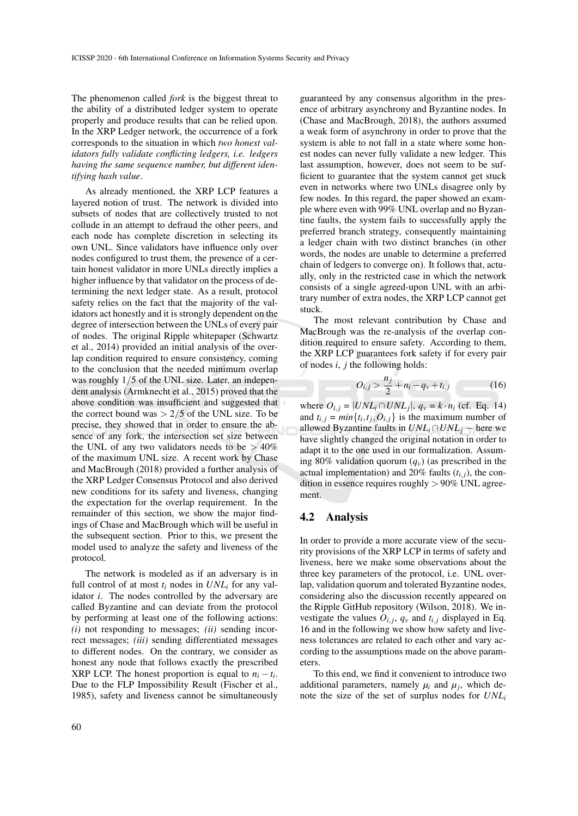The phenomenon called *fork* is the biggest threat to the ability of a distributed ledger system to operate properly and produce results that can be relied upon. In the XRP Ledger network, the occurrence of a fork corresponds to the situation in which *two honest validators fully validate conflicting ledgers, i.e. ledgers having the same sequence number, but different identifying hash value*.

As already mentioned, the XRP LCP features a layered notion of trust. The network is divided into subsets of nodes that are collectively trusted to not collude in an attempt to defraud the other peers, and each node has complete discretion in selecting its own UNL. Since validators have influence only over nodes configured to trust them, the presence of a certain honest validator in more UNLs directly implies a higher influence by that validator on the process of determining the next ledger state. As a result, protocol safety relies on the fact that the majority of the validators act honestly and it is strongly dependent on the degree of intersection between the UNLs of every pair of nodes. The original Ripple whitepaper (Schwartz et al., 2014) provided an initial analysis of the overlap condition required to ensure consistency, coming to the conclusion that the needed minimum overlap was roughly 1/5 of the UNL size. Later, an independent analysis (Armknecht et al., 2015) proved that the above condition was insufficient and suggested that the correct bound was  $> 2/5$  of the UNL size. To be precise, they showed that in order to ensure the absence of any fork, the intersection set size between the UNL of any two validators needs to be  $> 40\%$ of the maximum UNL size. A recent work by Chase and MacBrough (2018) provided a further analysis of the XRP Ledger Consensus Protocol and also derived new conditions for its safety and liveness, changing the expectation for the overlap requirement. In the remainder of this section, we show the major findings of Chase and MacBrough which will be useful in the subsequent section. Prior to this, we present the model used to analyze the safety and liveness of the protocol.

The network is modeled as if an adversary is in full control of at most  $t_i$  nodes in  $UNL_i$  for any validator *i*. The nodes controlled by the adversary are called Byzantine and can deviate from the protocol by performing at least one of the following actions: *(i)* not responding to messages; *(ii)* sending incorrect messages; *(iii)* sending differentiated messages to different nodes. On the contrary, we consider as honest any node that follows exactly the prescribed XRP LCP. The honest proportion is equal to  $n_i - t_i$ . Due to the FLP Impossibility Result (Fischer et al., 1985), safety and liveness cannot be simultaneously

guaranteed by any consensus algorithm in the presence of arbitrary asynchrony and Byzantine nodes. In (Chase and MacBrough, 2018), the authors assumed a weak form of asynchrony in order to prove that the system is able to not fall in a state where some honest nodes can never fully validate a new ledger. This last assumption, however, does not seem to be sufficient to guarantee that the system cannot get stuck even in networks where two UNLs disagree only by few nodes. In this regard, the paper showed an example where even with 99% UNL overlap and no Byzantine faults, the system fails to successfully apply the preferred branch strategy, consequently maintaining a ledger chain with two distinct branches (in other words, the nodes are unable to determine a preferred chain of ledgers to converge on). It follows that, actually, only in the restricted case in which the network consists of a single agreed-upon UNL with an arbitrary number of extra nodes, the XRP LCP cannot get stuck.

The most relevant contribution by Chase and MacBrough was the re-analysis of the overlap condition required to ensure safety. According to them, the XRP LCP guarantees fork safety if for every pair of nodes *i*, *j* the following holds:

$$
O_{i,j} > \frac{n_j}{2} + n_i - q_v + t_{i,j}
$$
 (16)

where  $O_{i,j} = |UNL_i \cap UNL_j|, q_v = k \cdot n_i$  (cf. Eq. 14) and  $t_{i,j} = min\{t_i, t_j, O_{i,j}\}$  is the maximum number of allowed Byzantine faults in  $UNL<sub>i</sub> ∩ UNL<sub>j</sub>$  − here we have slightly changed the original notation in order to adapt it to the one used in our formalization. Assuming 80% validation quorum  $(q_v)$  (as prescribed in the actual implementation) and 20% faults  $(t_i, j)$ , the condition in essence requires roughly  $> 90\%$  UNL agreement.

### 4.2 Analysis

In order to provide a more accurate view of the security provisions of the XRP LCP in terms of safety and liveness, here we make some observations about the three key parameters of the protocol, i.e. UNL overlap, validation quorum and tolerated Byzantine nodes, considering also the discussion recently appeared on the Ripple GitHub repository (Wilson, 2018). We investigate the values  $O_{i,j}$ ,  $q_v$  and  $t_{i,j}$  displayed in Eq. 16 and in the following we show how safety and liveness tolerances are related to each other and vary according to the assumptions made on the above parameters.

To this end, we find it convenient to introduce two additional parameters, namely  $\mu_i$  and  $\mu_j$ , which denote the size of the set of surplus nodes for *UNL<sup>i</sup>*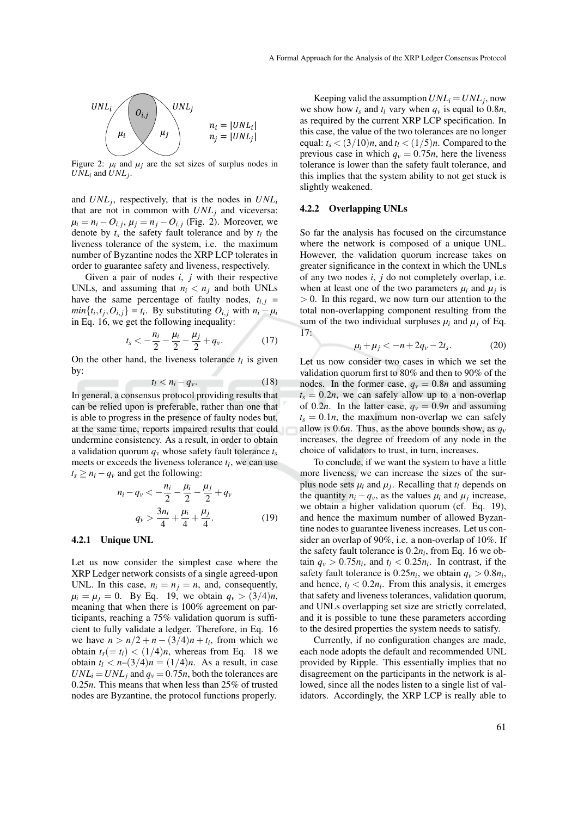

Figure 2:  $\mu_i$  and  $\mu_j$  are the set sizes of surplus nodes in  $UNL_i$  and  $UNL_j$ .

and *UNL<sup>j</sup>* , respectively, that is the nodes in *UNL<sup>i</sup>* that are not in common with  $UNL<sub>j</sub>$  and viceversa:  $\mu_i = n_i - O_{i,j}, \mu_j = n_j - O_{i,j}$  (Fig. 2). Moreover, we denote by  $t_s$  the safety fault tolerance and by  $t_l$  the liveness tolerance of the system, i.e. the maximum number of Byzantine nodes the XRP LCP tolerates in order to guarantee safety and liveness, respectively.

Given a pair of nodes *i*, *j* with their respective UNLs, and assuming that  $n_i < n_j$  and both UNLs have the same percentage of faulty nodes,  $t_{i,j}$  =  $min\{t_i, t_j, O_{i,j}\} = t_i$ . By substituting  $O_{i,j}$  with  $n_i - \mu_i$ in Eq. 16, we get the following inequality:

$$
t_s < -\frac{n_i}{2} - \frac{\mu_i}{2} - \frac{\mu_j}{2} + q_v. \tag{17}
$$

On the other hand, the liveness tolerance  $t_l$  is given by:

$$
t_l < n_i - q_\nu. \tag{18}
$$

In general, a consensus protocol providing results that can be relied upon is preferable, rather than one that is able to progress in the presence of faulty nodes but, at the same time, reports impaired results that could undermine consistency. As a result, in order to obtain a validation quorum  $q_v$  whose safety fault tolerance  $t_s$ meets or exceeds the liveness tolerance *t<sup>l</sup>* , we can use  $t_s \geq n_i - q_v$  and get the following:

$$
n_i - q_v < -\frac{n_i}{2} - \frac{\mu_i}{2} - \frac{\mu_j}{2} + q_v
$$
  

$$
q_v > \frac{3n_i}{4} + \frac{\mu_i}{4} + \frac{\mu_j}{4}.
$$
 (19)

#### 4.2.1 Unique UNL

Let us now consider the simplest case where the XRP Ledger network consists of a single agreed-upon UNL. In this case,  $n_i = n_j = n$ , and, consequently,  $\mu_i = \mu_j = 0$ . By Eq. 19, we obtain  $q_v > (3/4)n$ , meaning that when there is 100% agreement on participants, reaching a 75% validation quorum is sufficient to fully validate a ledger. Therefore, in Eq. 16 we have  $n > n/2 + n - (3/4)n + t_i$ , from which we obtain  $t_s(= t_i) < (1/4)n$ , whereas from Eq. 18 we obtain  $t_l < n-(3/4)n = (1/4)n$ . As a result, in case  $UNL<sub>i</sub> = UNL<sub>i</sub>$  and  $q<sub>v</sub> = 0.75n$ , both the tolerances are 0.25*n*. This means that when less than 25% of trusted nodes are Byzantine, the protocol functions properly.

Keeping valid the assumption  $UNL_i = UNL_j$ , now we show how  $t_s$  and  $t_l$  vary when  $q_v$  is equal to 0.8*n*, as required by the current XRP LCP specification. In this case, the value of the two tolerances are no longer equal:  $t_s < (3/10)n$ , and  $t_l < (1/5)n$ . Compared to the previous case in which  $q<sub>v</sub> = 0.75n$ , here the liveness tolerance is lower than the safety fault tolerance, and this implies that the system ability to not get stuck is slightly weakened.

#### 4.2.2 Overlapping UNLs

So far the analysis has focused on the circumstance where the network is composed of a unique UNL. However, the validation quorum increase takes on greater significance in the context in which the UNLs of any two nodes *i*, *j* do not completely overlap, i.e. when at least one of the two parameters  $\mu_i$  and  $\mu_j$  is  $> 0$ . In this regard, we now turn our attention to the total non-overlapping component resulting from the sum of the two individual surpluses  $\mu_i$  and  $\mu_j$  of Eq. 17:

$$
\mu_i + \mu_j < -n + 2q_v - 2t_s. \tag{20}
$$

Let us now consider two cases in which we set the validation quorum first to 80% and then to 90% of the nodes. In the former case,  $q_v = 0.8n$  and assuming  $t_s = 0.2n$ , we can safely allow up to a non-overlap of 0.2*n*. In the latter case,  $q_v = 0.9n$  and assuming  $t_s = 0.1n$ , the maximum non-overlap we can safely allow is 0.6*n*. Thus, as the above bounds show, as  $q_v$ increases, the degree of freedom of any node in the choice of validators to trust, in turn, increases.

To conclude, if we want the system to have a little more liveness, we can increase the sizes of the surplus node sets  $\mu_i$  and  $\mu_j$ . Recalling that  $t_l$  depends on the quantity  $n_i - q_\nu$ , as the values  $\mu_i$  and  $\mu_j$  increase, we obtain a higher validation quorum (cf. Eq. 19), and hence the maximum number of allowed Byzantine nodes to guarantee liveness increases. Let us consider an overlap of 90%, i.e. a non-overlap of 10%. If the safety fault tolerance is  $0.2n_i$ , from Eq. 16 we obtain  $q_v > 0.75n_i$ , and  $t_l < 0.25n_i$ . In contrast, if the safety fault tolerance is  $0.25n_i$ , we obtain  $q_v > 0.8n_i$ , and hence,  $t_l < 0.2n_i$ . From this analysis, it emerges that safety and liveness tolerances, validation quorum, and UNLs overlapping set size are strictly correlated, and it is possible to tune these parameters according to the desired properties the system needs to satisfy.

Currently, if no configuration changes are made, each node adopts the default and recommended UNL provided by Ripple. This essentially implies that no disagreement on the participants in the network is allowed, since all the nodes listen to a single list of validators. Accordingly, the XRP LCP is really able to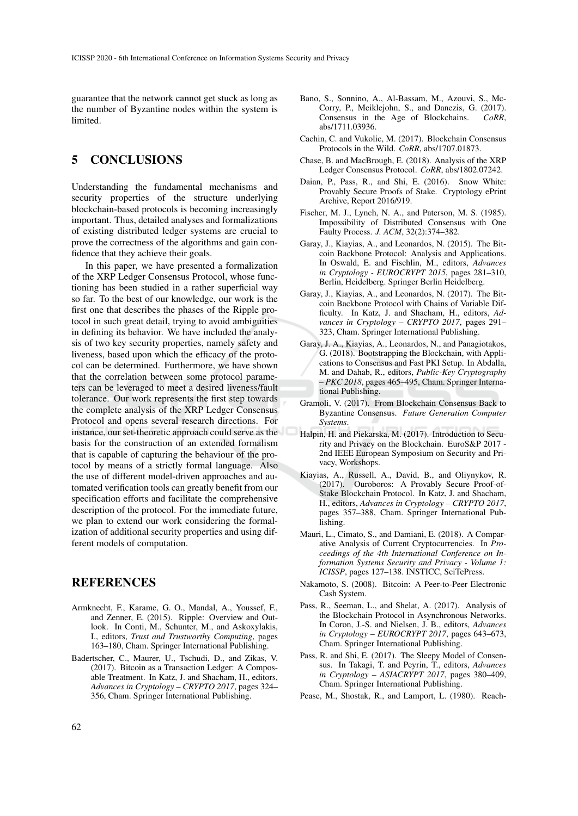guarantee that the network cannot get stuck as long as the number of Byzantine nodes within the system is limited.

# 5 CONCLUSIONS

Understanding the fundamental mechanisms and security properties of the structure underlying blockchain-based protocols is becoming increasingly important. Thus, detailed analyses and formalizations of existing distributed ledger systems are crucial to prove the correctness of the algorithms and gain confidence that they achieve their goals.

In this paper, we have presented a formalization of the XRP Ledger Consensus Protocol, whose functioning has been studied in a rather superficial way so far. To the best of our knowledge, our work is the first one that describes the phases of the Ripple protocol in such great detail, trying to avoid ambiguities in defining its behavior. We have included the analysis of two key security properties, namely safety and liveness, based upon which the efficacy of the protocol can be determined. Furthermore, we have shown that the correlation between some protocol parameters can be leveraged to meet a desired liveness/fault tolerance. Our work represents the first step towards the complete analysis of the XRP Ledger Consensus Protocol and opens several research directions. For instance, our set-theoretic approach could serve as the basis for the construction of an extended formalism that is capable of capturing the behaviour of the protocol by means of a strictly formal language. Also the use of different model-driven approaches and automated verification tools can greatly benefit from our specification efforts and facilitate the comprehensive description of the protocol. For the immediate future, we plan to extend our work considering the formalization of additional security properties and using different models of computation.

### REFERENCES

- Armknecht, F., Karame, G. O., Mandal, A., Youssef, F., and Zenner, E. (2015). Ripple: Overview and Outlook. In Conti, M., Schunter, M., and Askoxylakis, I., editors, *Trust and Trustworthy Computing*, pages 163–180, Cham. Springer International Publishing.
- Badertscher, C., Maurer, U., Tschudi, D., and Zikas, V. (2017). Bitcoin as a Transaction Ledger: A Composable Treatment. In Katz, J. and Shacham, H., editors, *Advances in Cryptology – CRYPTO 2017*, pages 324– 356, Cham. Springer International Publishing.
- Bano, S., Sonnino, A., Al-Bassam, M., Azouvi, S., Mc-Corry, P., Meiklejohn, S., and Danezis, G. (2017). Consensus in the Age of Blockchains. *CoRR*, abs/1711.03936.
- Cachin, C. and Vukolic, M. (2017). Blockchain Consensus Protocols in the Wild. *CoRR*, abs/1707.01873.
- Chase, B. and MacBrough, E. (2018). Analysis of the XRP Ledger Consensus Protocol. *CoRR*, abs/1802.07242.
- Daian, P., Pass, R., and Shi, E. (2016). Snow White: Provably Secure Proofs of Stake. Cryptology ePrint Archive, Report 2016/919.
- Fischer, M. J., Lynch, N. A., and Paterson, M. S. (1985). Impossibility of Distributed Consensus with One Faulty Process. *J. ACM*, 32(2):374–382.
- Garay, J., Kiayias, A., and Leonardos, N. (2015). The Bitcoin Backbone Protocol: Analysis and Applications. In Oswald, E. and Fischlin, M., editors, *Advances in Cryptology - EUROCRYPT 2015*, pages 281–310, Berlin, Heidelberg. Springer Berlin Heidelberg.
- Garay, J., Kiayias, A., and Leonardos, N. (2017). The Bitcoin Backbone Protocol with Chains of Variable Difficulty. In Katz, J. and Shacham, H., editors, *Advances in Cryptology – CRYPTO 2017*, pages 291– 323, Cham. Springer International Publishing.
- Garay, J. A., Kiayias, A., Leonardos, N., and Panagiotakos, G. (2018). Bootstrapping the Blockchain, with Applications to Consensus and Fast PKI Setup. In Abdalla, M. and Dahab, R., editors, *Public-Key Cryptography – PKC 2018*, pages 465–495, Cham. Springer International Publishing.
- Gramoli, V. (2017). From Blockchain Consensus Back to Byzantine Consensus. *Future Generation Computer Systems*.
- Halpin, H. and Piekarska, M. (2017). Introduction to Security and Privacy on the Blockchain. EuroS&P 2017 - 2nd IEEE European Symposium on Security and Privacy, Workshops.
- Kiayias, A., Russell, A., David, B., and Oliynykov, R. (2017). Ouroboros: A Provably Secure Proof-of-Stake Blockchain Protocol. In Katz, J. and Shacham, H., editors, *Advances in Cryptology – CRYPTO 2017*, pages 357–388, Cham. Springer International Publishing.
- Mauri, L., Cimato, S., and Damiani, E. (2018). A Comparative Analysis of Current Cryptocurrencies. In *Proceedings of the 4th International Conference on Information Systems Security and Privacy - Volume 1: ICISSP*, pages 127–138. INSTICC, SciTePress.
- Nakamoto, S. (2008). Bitcoin: A Peer-to-Peer Electronic Cash System.
- Pass, R., Seeman, L., and Shelat, A. (2017). Analysis of the Blockchain Protocol in Asynchronous Networks. In Coron, J.-S. and Nielsen, J. B., editors, *Advances in Cryptology – EUROCRYPT 2017*, pages 643–673, Cham. Springer International Publishing.
- Pass, R. and Shi, E. (2017). The Sleepy Model of Consensus. In Takagi, T. and Peyrin, T., editors, *Advances in Cryptology – ASIACRYPT 2017*, pages 380–409, Cham. Springer International Publishing.
- Pease, M., Shostak, R., and Lamport, L. (1980). Reach-